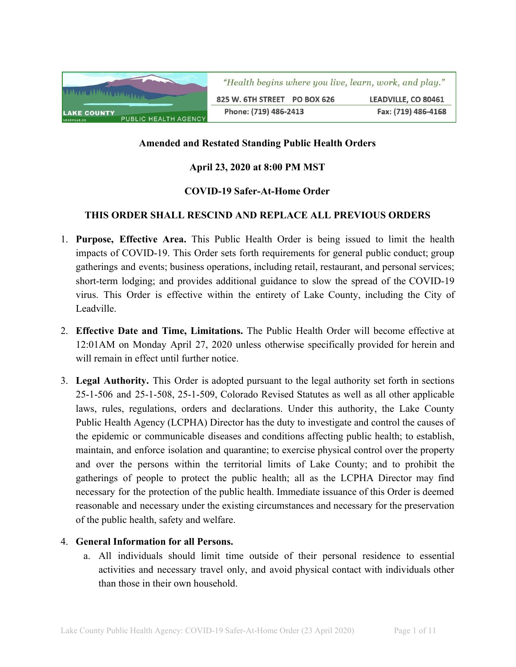

## **Amended and Restated Standing Public Health Orders**

## **April 23, 2020 at 8:00 PM MST**

### **COVID-19 Safer-At-Home Order**

### **THIS ORDER SHALL RESCIND AND REPLACE ALL PREVIOUS ORDERS**

- 1. **Purpose, Effective Area.** This Public Health Order is being issued to limit the health impacts of COVID-19. This Order sets forth requirements for general public conduct; group gatherings and events; business operations, including retail, restaurant, and personal services; short-term lodging; and provides additional guidance to slow the spread of the COVID-19 virus. This Order is effective within the entirety of Lake County, including the City of Leadville.
- 2. **Effective Date and Time, Limitations.** The Public Health Order will become effective at 12:01AM on Monday April 27, 2020 unless otherwise specifically provided for herein and will remain in effect until further notice.
- 3. **Legal Authority.** This Order is adopted pursuant to the legal authority set forth in sections 25-1-506 and 25-1-508, 25-1-509, Colorado Revised Statutes as well as all other applicable laws, rules, regulations, orders and declarations. Under this authority, the Lake County Public Health Agency (LCPHA) Director has the duty to investigate and control the causes of the epidemic or communicable diseases and conditions affecting public health; to establish, maintain, and enforce isolation and quarantine; to exercise physical control over the property and over the persons within the territorial limits of Lake County; and to prohibit the gatherings of people to protect the public health; all as the LCPHA Director may find necessary for the protection of the public health. Immediate issuance of this Order is deemed reasonable and necessary under the existing circumstances and necessary for the preservation of the public health, safety and welfare.

#### 4. **General Information for all Persons.**

a. All individuals should limit time outside of their personal residence to essential activities and necessary travel only, and avoid physical contact with individuals other than those in their own household.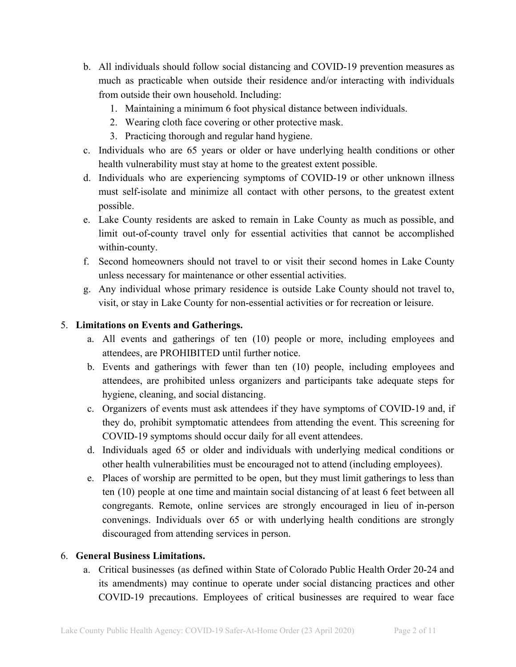- b. All individuals should follow social distancing and COVID-19 prevention measures as much as practicable when outside their residence and/or interacting with individuals from outside their own household. Including:
	- 1. Maintaining a minimum 6 foot physical distance between individuals.
	- 2. Wearing cloth face covering or other protective mask.
	- 3. Practicing thorough and regular hand hygiene.
- c. Individuals who are 65 years or older or have underlying health conditions or other health vulnerability must stay at home to the greatest extent possible.
- d. Individuals who are experiencing symptoms of COVID-19 or other unknown illness must self-isolate and minimize all contact with other persons, to the greatest extent possible.
- e. Lake County residents are asked to remain in Lake County as much as possible, and limit out-of-county travel only for essential activities that cannot be accomplished within-county.
- f. Second homeowners should not travel to or visit their second homes in Lake County unless necessary for maintenance or other essential activities.
- g. Any individual whose primary residence is outside Lake County should not travel to, visit, or stay in Lake County for non-essential activities or for recreation or leisure.

## 5. **Limitations on Events and Gatherings.**

- a. All events and gatherings of ten (10) people or more, including employees and attendees, are PROHIBITED until further notice.
- b. Events and gatherings with fewer than ten (10) people, including employees and attendees, are prohibited unless organizers and participants take adequate steps for hygiene, cleaning, and social distancing.
- c. Organizers of events must ask attendees if they have symptoms of COVID-19 and, if they do, prohibit symptomatic attendees from attending the event. This screening for COVID-19 symptoms should occur daily for all event attendees.
- d. Individuals aged 65 or older and individuals with underlying medical conditions or other health vulnerabilities must be encouraged not to attend (including employees).
- e. Places of worship are permitted to be open, but they must limit gatherings to less than ten (10) people at one time and maintain social distancing of at least 6 feet between all congregants. Remote, online services are strongly encouraged in lieu of in-person convenings. Individuals over 65 or with underlying health conditions are strongly discouraged from attending services in person.

## 6. **General Business Limitations.**

a. Critical businesses (as defined within State of Colorado Public Health Order 20-24 and its amendments) may continue to operate under social distancing practices and other COVID-19 precautions. Employees of critical businesses are required to wear face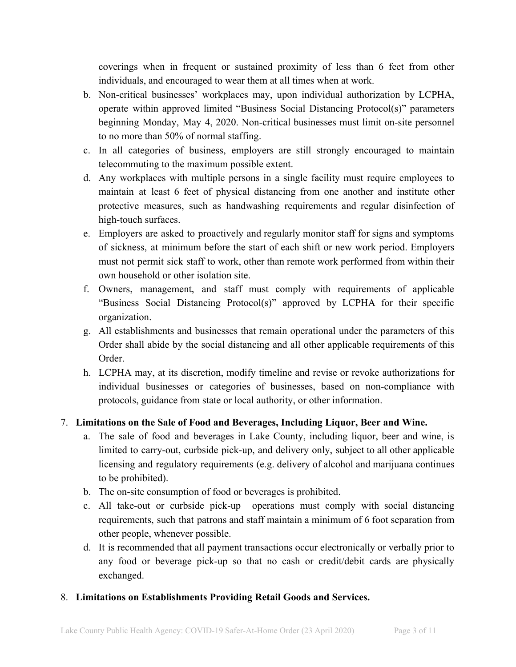coverings when in frequent or sustained proximity of less than 6 feet from other individuals, and encouraged to wear them at all times when at work.

- b. Non-critical businesses' workplaces may, upon individual authorization by LCPHA, operate within approved limited "Business Social Distancing Protocol(s)" parameters beginning Monday, May 4, 2020. Non-critical businesses must limit on-site personnel to no more than 50% of normal staffing.
- c. In all categories of business, employers are still strongly encouraged to maintain telecommuting to the maximum possible extent.
- d. Any workplaces with multiple persons in a single facility must require employees to maintain at least 6 feet of physical distancing from one another and institute other protective measures, such as handwashing requirements and regular disinfection of high-touch surfaces.
- e. Employers are asked to proactively and regularly monitor staff for signs and symptoms of sickness, at minimum before the start of each shift or new work period. Employers must not permit sick staff to work, other than remote work performed from within their own household or other isolation site.
- f. Owners, management, and staff must comply with requirements of applicable "Business Social Distancing Protocol(s)" approved by LCPHA for their specific organization.
- g. All establishments and businesses that remain operational under the parameters of this Order shall abide by the social distancing and all other applicable requirements of this Order.
- h. LCPHA may, at its discretion, modify timeline and revise or revoke authorizations for individual businesses or categories of businesses, based on non-compliance with protocols, guidance from state or local authority, or other information.

# 7. **Limitations on the Sale of Food and Beverages, Including Liquor, Beer and Wine.**

- a. The sale of food and beverages in Lake County, including liquor, beer and wine, is limited to carry-out, curbside pick-up, and delivery only, subject to all other applicable licensing and regulatory requirements (e.g. delivery of alcohol and marijuana continues to be prohibited).
- b. The on-site consumption of food or beverages is prohibited.
- c. All take-out or curbside pick-up operations must comply with social distancing requirements, such that patrons and staff maintain a minimum of 6 foot separation from other people, whenever possible.
- d. It is recommended that all payment transactions occur electronically or verbally prior to any food or beverage pick-up so that no cash or credit/debit cards are physically exchanged.

## 8. **Limitations on Establishments Providing Retail Goods and Services.**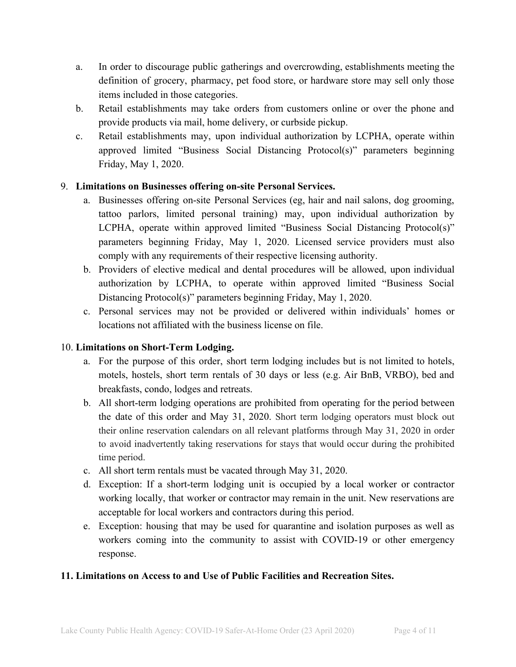- a. In order to discourage public gatherings and overcrowding, establishments meeting the definition of grocery, pharmacy, pet food store, or hardware store may sell only those items included in those categories.
- b. Retail establishments may take orders from customers online or over the phone and provide products via mail, home delivery, or curbside pickup.
- c. Retail establishments may, upon individual authorization by LCPHA, operate within approved limited "Business Social Distancing Protocol(s)" parameters beginning Friday, May 1, 2020.

## 9. **Limitations on Businesses offering on-site Personal Services.**

- a. Businesses offering on-site Personal Services (eg, hair and nail salons, dog grooming, tattoo parlors, limited personal training) may, upon individual authorization by LCPHA, operate within approved limited "Business Social Distancing Protocol(s)" parameters beginning Friday, May 1, 2020. Licensed service providers must also comply with any requirements of their respective licensing authority.
- b. Providers of elective medical and dental procedures will be allowed, upon individual authorization by LCPHA, to operate within approved limited "Business Social Distancing Protocol(s)" parameters beginning Friday, May 1, 2020.
- c. Personal services may not be provided or delivered within individuals' homes or locations not affiliated with the business license on file.

# 10. **Limitations on Short-Term Lodging.**

- a. For the purpose of this order, short term lodging includes but is not limited to hotels, motels, hostels, short term rentals of 30 days or less (e.g. Air BnB, VRBO), bed and breakfasts, condo, lodges and retreats.
- b. All short-term lodging operations are prohibited from operating for the period between the date of this order and May 31, 2020. Short term lodging operators must block out their online reservation calendars on all relevant platforms through May 31, 2020 in order to avoid inadvertently taking reservations for stays that would occur during the prohibited time period.
- c. All short term rentals must be vacated through May 31, 2020.
- d. Exception: If a short-term lodging unit is occupied by a local worker or contractor working locally, that worker or contractor may remain in the unit. New reservations are acceptable for local workers and contractors during this period.
- e. Exception: housing that may be used for quarantine and isolation purposes as well as workers coming into the community to assist with COVID-19 or other emergency response.

## **11. Limitations on Access to and Use of Public Facilities and Recreation Sites.**